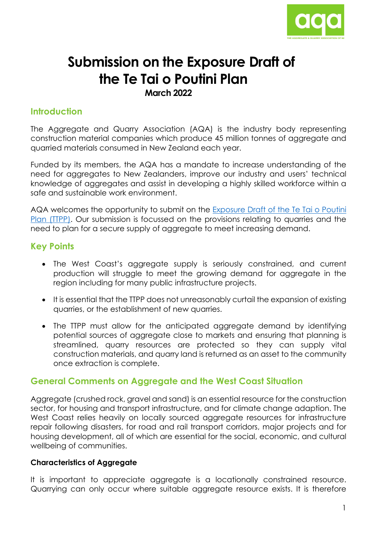

# **Submission on the Exposure Draft of the Te Tai o Poutini Plan March 2022**

### **Introduction**

The Aggregate and Quarry Association (AQA) is the industry body representing construction material companies which produce 45 million tonnes of aggregate and quarried materials consumed in New Zealand each year.

Funded by its members, the AQA has a mandate to increase understanding of the need for aggregates to New Zealanders, improve our industry and users' technical knowledge of aggregates and assist in developing a highly skilled workforce within a safe and sustainable work environment.

AQA welcomes the opportunity to submit on the [Exposure Draft of the Te Tai o Poutini](https://westcoast.isoplan.co.nz/eplan/#Rules/0/402/1/0/0)  Plan [\(TTPP\).](https://westcoast.isoplan.co.nz/eplan/#Rules/0/402/1/0/0) Our submission is focussed on the provisions relating to quarries and the need to plan for a secure supply of aggregate to meet increasing demand.

#### **Key Points**

- The West Coast's aggregate supply is seriously constrained, and current production will struggle to meet the growing demand for aggregate in the region including for many public infrastructure projects.
- It is essential that the TTPP does not unreasonably curtail the expansion of existing quarries, or the establishment of new quarries.
- The TTPP must allow for the anticipated aggregate demand by identifying potential sources of aggregate close to markets and ensuring that planning is streamlined, quarry resources are protected so they can supply vital construction materials, and quarry land is returned as an asset to the community once extraction is complete.

#### **General Comments on Aggregate and the West Coast Situation**

Aggregate (crushed rock, gravel and sand) is an essential resource for the construction sector, for housing and transport infrastructure, and for climate change adaption. The West Coast relies heavily on locally sourced aggregate resources for infrastructure repair following disasters, for road and rail transport corridors, major projects and for housing development, all of which are essential for the social, economic, and cultural wellbeing of communities.

#### **Characteristics of Aggregate**

It is important to appreciate aggregate is a locationally constrained resource. Quarrying can only occur where suitable aggregate resource exists. It is therefore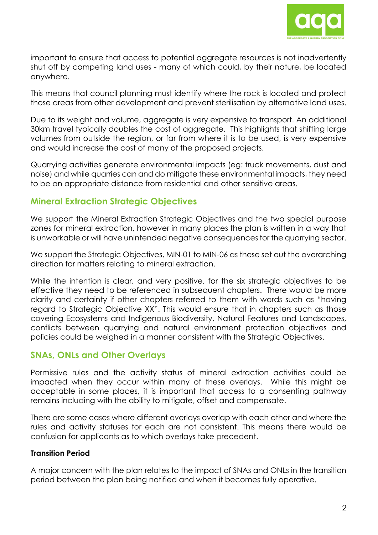

important to ensure that access to potential aggregate resources is not inadvertently shut off by competing land uses - many of which could, by their nature, be located anywhere.

This means that council planning must identify where the rock is located and protect those areas from other development and prevent sterilisation by alternative land uses.

Due to its weight and volume, aggregate is very expensive to transport. An additional 30km travel typically doubles the cost of aggregate. This highlights that shifting large volumes from outside the region, or far from where it is to be used, is very expensive and would increase the cost of many of the proposed projects.

Quarrying activities generate environmental impacts (eg: truck movements, dust and noise) and while quarries can and do mitigate these environmental impacts, they need to be an appropriate distance from residential and other sensitive areas.

#### **Mineral Extraction Strategic Objectives**

We support the Mineral Extraction Strategic Objectives and the two special purpose zones for mineral extraction, however in many places the plan is written in a way that is unworkable or will have unintended negative consequences for the quarrying sector.

We support the Strategic Objectives, MIN-01 to MIN-06 as these set out the overarching direction for matters relating to mineral extraction.

While the intention is clear, and very positive, for the six strategic objectives to be effective they need to be referenced in subsequent chapters. There would be more clarity and certainty if other chapters referred to them with words such as "having regard to Strategic Objective XX". This would ensure that in chapters such as those covering Ecosystems and Indigenous Biodiversity, Natural Features and Landscapes, conflicts between quarrying and natural environment protection objectives and policies could be weighed in a manner consistent with the Strategic Objectives.

#### **SNAs, ONLs and Other Overlays**

Permissive rules and the activity status of mineral extraction activities could be impacted when they occur within many of these overlays. While this might be acceptable in some places, it is important that access to a consenting pathway remains including with the ability to mitigate, offset and compensate.

There are some cases where different overlays overlap with each other and where the rules and activity statuses for each are not consistent. This means there would be confusion for applicants as to which overlays take precedent.

#### **Transition Period**

A major concern with the plan relates to the impact of SNAs and ONLs in the transition period between the plan being notified and when it becomes fully operative.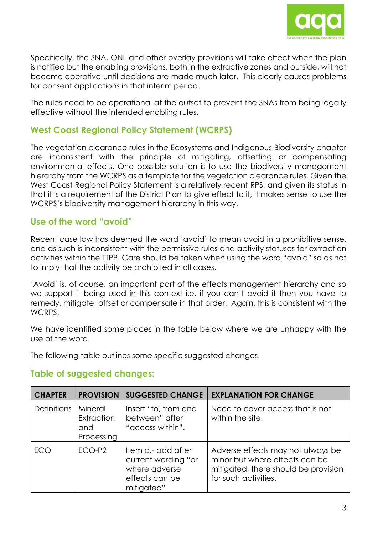

Specifically, the SNA, ONL and other overlay provisions will take effect when the plan is notified but the enabling provisions, both in the extractive zones and outside, will not become operative until decisions are made much later. This clearly causes problems for consent applications in that interim period.

The rules need to be operational at the outset to prevent the SNAs from being legally effective without the intended enabling rules.

# **West Coast Regional Policy Statement (WCRPS)**

The vegetation clearance rules in the Ecosystems and Indigenous Biodiversity chapter are inconsistent with the principle of mitigating, offsetting or compensating environmental effects. One possible solution is to use the biodiversity management hierarchy from the WCRPS as a template for the vegetation clearance rules. Given the West Coast Regional Policy Statement is a relatively recent RPS, and given its status in that it is a requirement of the District Plan to give effect to it, it makes sense to use the WCRPS's biodiversity management hierarchy in this way.

### **Use of the word "avoid"**

Recent case law has deemed the word 'avoid' to mean avoid in a prohibitive sense, and as such is inconsistent with the permissive rules and activity statuses for extraction activities within the TTPP. Care should be taken when using the word "avoid" so as not to imply that the activity be prohibited in all cases.

'Avoid' is, of course, an important part of the effects management hierarchy and so we support it being used in this context i.e. if you can't avoid it then you have to remedy, mitigate, offset or compensate in that order. Again, this is consistent with the WCRPS.

We have identified some places in the table below where we are unhappy with the use of the word.

The following table outlines some specific suggested changes.

| <b>CHAPTER</b>     | <b>PROVISION</b>                           | <b>SUGGESTED CHANGE</b>                                                                    | <b>EXPLANATION FOR CHANGE</b>                                                                                                       |
|--------------------|--------------------------------------------|--------------------------------------------------------------------------------------------|-------------------------------------------------------------------------------------------------------------------------------------|
| <b>Definitions</b> | Mineral<br>Extraction<br>and<br>Processing | Insert "to, from and<br>between" after<br>"access within".                                 | Need to cover access that is not<br>within the site.                                                                                |
| FCO                | $ECO-P2$                                   | Item d.- add after<br>current wording "or<br>where adverse<br>effects can be<br>mitigated" | Adverse effects may not always be<br>minor but where effects can be<br>mitigated, there should be provision<br>for such activities. |

## **Table of suggested changes:**